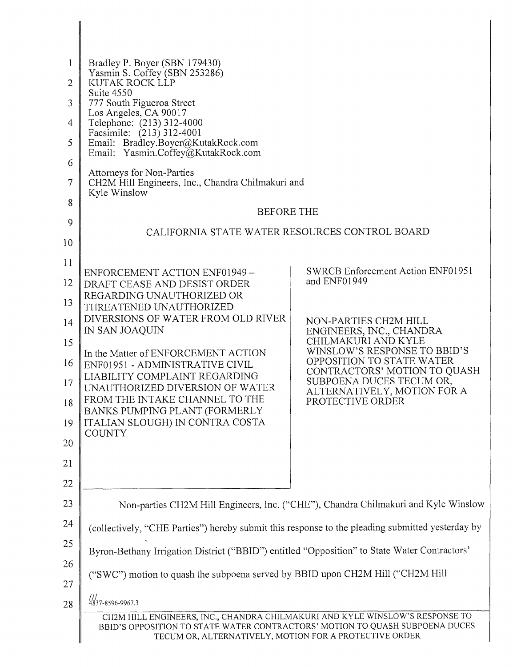| $\mathbf{1}$<br>2<br>3<br>4<br>5<br>6<br>7<br>8<br>9<br>10<br>11<br>12<br>13<br>14<br>15<br>16<br>17<br>18<br>19<br>20<br>21 | Bradley P. Boyer (SBN 179430)<br>Yasmin S. Coffey (SBN 253286)<br>KUTAK ROCK LLP<br>Suite 4550<br>777 South Figueroa Street<br>Los Angeles, CA 90017<br>Telephone: (213) 312-4000<br>Facsimile: (213) 312-4001<br>Email: Bradley.Boyer@KutakRock.com<br>Email: Yasmin.Coffey@KutakRock.com<br>Attorneys for Non-Parties<br>CH2M Hill Engineers, Inc., Chandra Chilmakuri and<br>Kyle Winslow<br><b>BEFORE THE</b><br>CALIFORNIA STATE WATER RESOURCES CONTROL BOARD<br>ENFORCEMENT ACTION ENF01949 -<br>DRAFT CEASE AND DESIST ORDER<br>REGARDING UNAUTHORIZED OR<br>THREATENED UNAUTHORIZED<br>DIVERSIONS OF WATER FROM OLD RIVER<br>IN SAN JOAQUIN<br>In the Matter of ENFORCEMENT ACTION<br>ENF01951 - ADMINISTRATIVE CIVIL<br>LIABILITY COMPLAINT REGARDING<br>UNAUTHORIZED DIVERSION OF WATER<br>FROM THE INTAKE CHANNEL TO THE<br>BANKS PUMPING PLANT (FORMERLY<br>ITALIAN SLOUGH) IN CONTRA COSTA<br><b>COUNTY</b> | <b>SWRCB Enforcement Action ENF01951</b><br>and ENF01949<br>NON-PARTIES CH2M HILL<br>ENGINEERS, INC., CHANDRA<br>CHILMAKURI AND KYLE<br>WINSLOW'S RESPONSE TO BBID'S<br>OPPOSITION TO STATE WATER<br>CONTRACTORS' MOTION TO QUASH<br>SUBPOENA DUCES TECUM OR,<br>ALTERNATIVELY, MOTION FOR A<br>PROTECTIVE ORDER |
|------------------------------------------------------------------------------------------------------------------------------|---------------------------------------------------------------------------------------------------------------------------------------------------------------------------------------------------------------------------------------------------------------------------------------------------------------------------------------------------------------------------------------------------------------------------------------------------------------------------------------------------------------------------------------------------------------------------------------------------------------------------------------------------------------------------------------------------------------------------------------------------------------------------------------------------------------------------------------------------------------------------------------------------------------------------|------------------------------------------------------------------------------------------------------------------------------------------------------------------------------------------------------------------------------------------------------------------------------------------------------------------|
| 22<br>23                                                                                                                     |                                                                                                                                                                                                                                                                                                                                                                                                                                                                                                                                                                                                                                                                                                                                                                                                                                                                                                                           | Non-parties CH2M Hill Engineers, Inc. ("CHE"), Chandra Chilmakuri and Kyle Winslow                                                                                                                                                                                                                               |
| 24                                                                                                                           |                                                                                                                                                                                                                                                                                                                                                                                                                                                                                                                                                                                                                                                                                                                                                                                                                                                                                                                           |                                                                                                                                                                                                                                                                                                                  |
| 25                                                                                                                           | (collectively, "CHE Parties") hereby submit this response to the pleading submitted yesterday by                                                                                                                                                                                                                                                                                                                                                                                                                                                                                                                                                                                                                                                                                                                                                                                                                          |                                                                                                                                                                                                                                                                                                                  |
|                                                                                                                              | Byron-Bethany Irrigation District ("BBID") entitled "Opposition" to State Water Contractors'                                                                                                                                                                                                                                                                                                                                                                                                                                                                                                                                                                                                                                                                                                                                                                                                                              |                                                                                                                                                                                                                                                                                                                  |
| 26<br>27                                                                                                                     | ("SWC") motion to quash the subpoena served by BBID upon CH2M Hill ("CH2M Hill                                                                                                                                                                                                                                                                                                                                                                                                                                                                                                                                                                                                                                                                                                                                                                                                                                            |                                                                                                                                                                                                                                                                                                                  |
| 28                                                                                                                           | 4837-8596-9967.3                                                                                                                                                                                                                                                                                                                                                                                                                                                                                                                                                                                                                                                                                                                                                                                                                                                                                                          |                                                                                                                                                                                                                                                                                                                  |
|                                                                                                                              | CH2M HILL ENGINEERS, INC., CHANDRA CHILMAKURI AND KYLE WINSLOW'S RESPONSE TO<br>BBID'S OPPOSITION TO STATE WATER CONTRACTORS' MOTION TO QUASH SUBPOENA DUCES<br>TECUM OR, ALTERNATIVELY, MOTION FOR A PROTECTIVE ORDER                                                                                                                                                                                                                                                                                                                                                                                                                                                                                                                                                                                                                                                                                                    |                                                                                                                                                                                                                                                                                                                  |

▌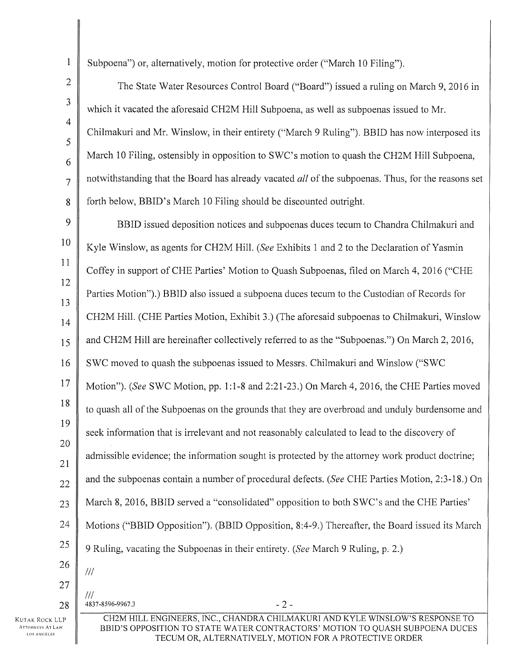Subpoena") or, alternatively, motion for protective order ("March 10 Filing").

The State Water Resources Control Board ("Board") issued a ruling on March 9, 2016 in which it vacated the aforesaid CH2M Hill Subpoena, as well as subpoenas issued to Mr. Chilmakuri and Mr. Winslow, in their entirety ("March 9 Ruling"). BBID has now interposed its March 10 Filing, ostensibly in opposition to SWC's motion to quash the CH2M Hill Subpoena, notwithstanding that the Board has already vacated *all* of the subpoenas. Thus, for the reasons set forth below, BBID's March 10 Filing should be discounted outright.

9 10 11 12 13 14 15 16 17 18 19 20 21 22 23 24 25 26 BBID issued deposition notices and subpoenas duces tecum to Chandra Chilmakuri and Kyle Winslow, as agents for CH2M Hill. *(See Exhibits 1 and 2 to the Declaration of Yasmin* Coffey in support of CHE Parties' Motion to Quash Subpoenas, filed on March 4, 2016 ("CHE Parties Motion").) BBID also issued a subpoena duces tecum to the Custodian of Records for CH2M Hill. (CHE Parties Motion, Exhibit 3.) (The aforesaid subpoenas to Chilmakuri, Winslow and CH2M Hill are hereinafter collectively referred to as the "Subpoenas.") On March 2, 2016, SWC moved to quash the subpoenas issued to Messrs. Chilmakuri and Winslow ("SWC Motion"). *(See* SWC Motion, pp. 1:1-8 and 2:21-23.) On March 4, 2016, the CHE Parties moved to quash all of the Subpoenas on the grounds that they are overbroad and unduly burdensome and seek information that is irrelevant and not reasonably calculated to lead to the discovery of admissible evidence; the information sought is protected by the attorney work product doctrine; and the subpoenas contain a number of procedural defects. *(See* CHE Parties Motion, 2:3-18.) On March 8, 2016, BBID served a "consolidated" opposition to both SWC's and the CHE Parties' Motions ("BBID Opposition"). (BBID Opposition, 8:4-9.) Thereafter, the Board issued its March 9 Ruling, vacating the Subpoenas in their entirety. *(See* March 9 Ruling, p. 2.)  $III$ 

27

1

2

3

4

5

6

7

8

Ill  $28 \parallel 4837 - 8596 - 9967.3$  - 2 -

CH2M HILL ENGINEERS, INC., CHANDRA CHILMAKURI AND KYLE WINSLOW'S RESPONSE TO BBID'S OPPOSITION TO STATE WATER CONTRACTORS' MOTION TO QUASH SUBPOENA DUCES TECUM OR, ALTERNATIVELY, MOTION FOR A PROTECTIVE ORDER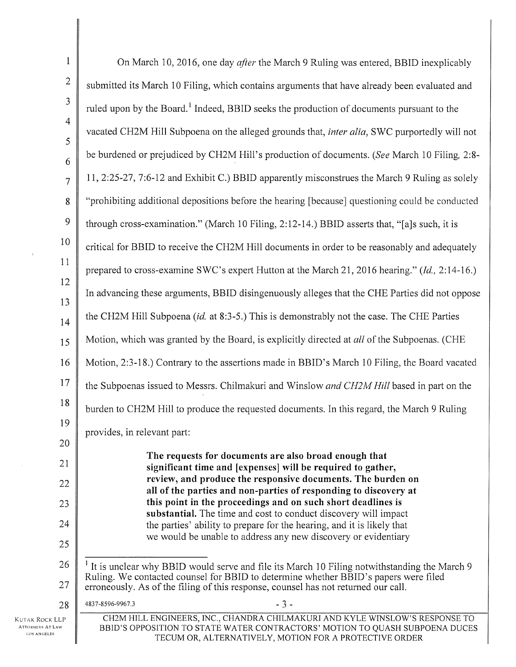| $\mathbf{1}$                                             | On March 10, 2016, one day <i>after</i> the March 9 Ruling was entered, BBID inexplicably                                                                                                                                                                                             |
|----------------------------------------------------------|---------------------------------------------------------------------------------------------------------------------------------------------------------------------------------------------------------------------------------------------------------------------------------------|
| $\overline{c}$                                           | submitted its March 10 Filing, which contains arguments that have already been evaluated and                                                                                                                                                                                          |
| $\mathfrak{Z}$                                           | ruled upon by the Board. <sup>1</sup> Indeed, BBID seeks the production of documents pursuant to the                                                                                                                                                                                  |
| 4                                                        | vacated CH2M Hill Subpoena on the alleged grounds that, <i>inter alia</i> , SWC purportedly will not                                                                                                                                                                                  |
| 5                                                        | be burdened or prejudiced by CH2M Hill's production of documents. (See March 10 Filing, 2:8-                                                                                                                                                                                          |
| 6<br>$\overline{7}$                                      | 11, 2:25-27, 7:6-12 and Exhibit C.) BBID apparently misconstrues the March 9 Ruling as solely                                                                                                                                                                                         |
| 8                                                        | "prohibiting additional depositions before the hearing [because] questioning could be conducted                                                                                                                                                                                       |
| 9                                                        | through cross-examination." (March 10 Filing, 2:12-14.) BBID asserts that, "[a]s such, it is                                                                                                                                                                                          |
| 10                                                       |                                                                                                                                                                                                                                                                                       |
| 11                                                       | critical for BBID to receive the CH2M Hill documents in order to be reasonably and adequately                                                                                                                                                                                         |
| 12                                                       | prepared to cross-examine SWC's expert Hutton at the March 21, 2016 hearing." (Id., 2:14-16.)                                                                                                                                                                                         |
| 13                                                       | In advancing these arguments, BBID disingenuously alleges that the CHE Parties did not oppose                                                                                                                                                                                         |
| 14                                                       | the CH2M Hill Subpoena (id. at 8:3-5.) This is demonstrably not the case. The CHE Parties                                                                                                                                                                                             |
| 15                                                       | Motion, which was granted by the Board, is explicitly directed at all of the Subpoenas. (CHE                                                                                                                                                                                          |
| 16                                                       | Motion, 2:3-18.) Contrary to the assertions made in BBID's March 10 Filing, the Board vacated                                                                                                                                                                                         |
| 17                                                       | the Subpoenas issued to Messrs. Chilmakuri and Winslow and CH2M Hill based in part on the                                                                                                                                                                                             |
| 18                                                       | burden to CH2M Hill to produce the requested documents. In this regard, the March 9 Ruling                                                                                                                                                                                            |
| 19                                                       | provides, in relevant part:                                                                                                                                                                                                                                                           |
| 20                                                       | The requests for documents are also broad enough that                                                                                                                                                                                                                                 |
| 21                                                       | significant time and [expenses] will be required to gather,<br>review, and produce the responsive documents. The burden on                                                                                                                                                            |
| 22                                                       | all of the parties and non-parties of responding to discovery at<br>this point in the proceedings and on such short deadlines is                                                                                                                                                      |
| 23                                                       | substantial. The time and cost to conduct discovery will impact                                                                                                                                                                                                                       |
| 24<br>25                                                 | the parties' ability to prepare for the hearing, and it is likely that<br>we would be unable to address any new discovery or evidentiary                                                                                                                                              |
| 26                                                       |                                                                                                                                                                                                                                                                                       |
| 27                                                       | <sup>1</sup> It is unclear why BBID would serve and file its March 10 Filing notwithstanding the March 9<br>Ruling. We contacted counsel for BBID to determine whether BBID's papers were filed<br>erroneously. As of the filing of this response, counsel has not returned our call. |
| 28                                                       | $-3-$<br>4837-8596-9967.3                                                                                                                                                                                                                                                             |
| Kutak Rock LLP<br><b>ATTORNEYS AT LAW</b><br>LOS ANGELES | CH2M HILL ENGINEERS, INC., CHANDRA CHILMAKURI AND KYLE WINSLOW'S RESPONSE TO<br>BBID'S OPPOSITION TO STATE WATER CONTRACTORS' MOTION TO QUASH SUBPOENA DUCES<br>TECUM OR, ALTERNATIVELY, MOTION FOR A PROTECTIVE ORDER                                                                |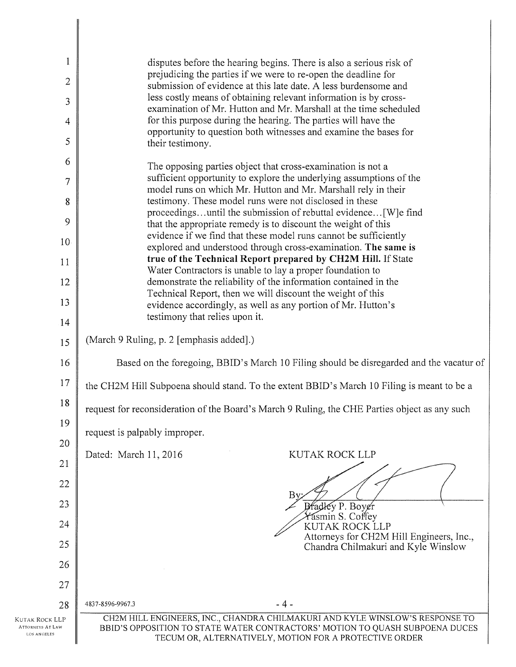| 1                                                        | disputes before the hearing begins. There is also a serious risk of                                                                                                                                                    |  |  |
|----------------------------------------------------------|------------------------------------------------------------------------------------------------------------------------------------------------------------------------------------------------------------------------|--|--|
| $\overline{c}$                                           | prejudicing the parties if we were to re-open the deadline for<br>submission of evidence at this late date. A less burdensome and                                                                                      |  |  |
| 3                                                        | less costly means of obtaining relevant information is by cross-<br>examination of Mr. Hutton and Mr. Marshall at the time scheduled                                                                                   |  |  |
| 4                                                        | for this purpose during the hearing. The parties will have the                                                                                                                                                         |  |  |
| 5                                                        | opportunity to question both witnesses and examine the bases for<br>their testimony.                                                                                                                                   |  |  |
| 6                                                        | The opposing parties object that cross-examination is not a                                                                                                                                                            |  |  |
| $\overline{7}$                                           | sufficient opportunity to explore the underlying assumptions of the<br>model runs on which Mr. Hutton and Mr. Marshall rely in their                                                                                   |  |  |
| 8                                                        | testimony. These model runs were not disclosed in these<br>proceedingsuntil the submission of rebuttal evidence [W]e find                                                                                              |  |  |
| 9                                                        | that the appropriate remedy is to discount the weight of this                                                                                                                                                          |  |  |
| 10                                                       | evidence if we find that these model runs cannot be sufficiently<br>explored and understood through cross-examination. The same is                                                                                     |  |  |
| 11                                                       | true of the Technical Report prepared by CH2M Hill. If State<br>Water Contractors is unable to lay a proper foundation to                                                                                              |  |  |
| 12                                                       | demonstrate the reliability of the information contained in the                                                                                                                                                        |  |  |
| 13                                                       | Technical Report, then we will discount the weight of this<br>evidence accordingly, as well as any portion of Mr. Hutton's                                                                                             |  |  |
| 14                                                       | testimony that relies upon it.                                                                                                                                                                                         |  |  |
| 15                                                       | (March 9 Ruling, p. 2 [emphasis added].)                                                                                                                                                                               |  |  |
| 16                                                       | Based on the foregoing, BBID's March 10 Filing should be disregarded and the vacatur of                                                                                                                                |  |  |
| 17                                                       | the CH2M Hill Subpoena should stand. To the extent BBID's March 10 Filing is meant to be a                                                                                                                             |  |  |
| 18                                                       | request for reconsideration of the Board's March 9 Ruling, the CHE Parties object as any such                                                                                                                          |  |  |
| 19                                                       | request is palpably improper.                                                                                                                                                                                          |  |  |
| 20                                                       | Dated: March 11, 2016<br>KUTAK ROCK LLP                                                                                                                                                                                |  |  |
| 21                                                       |                                                                                                                                                                                                                        |  |  |
| 22                                                       | $\rm{By}$                                                                                                                                                                                                              |  |  |
| 23                                                       | Bradley P. Boyer<br>Yasmin S. Coffey                                                                                                                                                                                   |  |  |
| 24                                                       | KUTAK ROCK LLP<br>Attorneys for CH2M Hill Engineers, Inc.,                                                                                                                                                             |  |  |
| 25                                                       | Chandra Chilmakuri and Kyle Winslow                                                                                                                                                                                    |  |  |
| 26                                                       |                                                                                                                                                                                                                        |  |  |
| 27                                                       |                                                                                                                                                                                                                        |  |  |
| 28                                                       | $-4-$<br>4837-8596-9967.3                                                                                                                                                                                              |  |  |
| KUTAK ROCK LLP<br><b>ATTORNEYS AT LAW</b><br>LOS ANGELES | CH2M HILL ENGINEERS, INC., CHANDRA CHILMAKURI AND KYLE WINSLOW'S RESPONSE TO<br>BBID'S OPPOSITION TO STATE WATER CONTRACTORS' MOTION TO QUASH SUBPOENA DUCES<br>TECUM OR, ALTERNATIVELY, MOTION FOR A PROTECTIVE ORDER |  |  |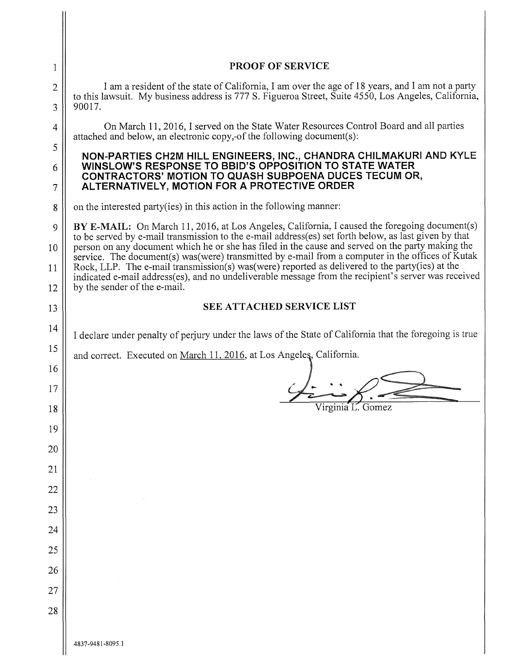| 1              | PROOF OF SERVICE                                                                                                                                                                                                                                                                                              |  |
|----------------|---------------------------------------------------------------------------------------------------------------------------------------------------------------------------------------------------------------------------------------------------------------------------------------------------------------|--|
| $\overline{2}$ | I am a resident of the state of California, I am over the age of 18 years, and I am not a party                                                                                                                                                                                                               |  |
| 3              | to this lawsuit. My business address is 777 S. Figueroa Street, Suite 4550, Los Angeles, California,<br>90017.                                                                                                                                                                                                |  |
| 4              | On March 11, 2016, I served on the State Water Resources Control Board and all parties<br>attached and below, an electronic copy,-of the following document(s):                                                                                                                                               |  |
| 5              | NON-PARTIES CH2M HILL ENGINEERS, INC., CHANDRA CHILMAKURI AND KYLE<br>WINSLOW'S RESPONSE TO BBID'S OPPOSITION TO STATE WATER<br>CONTRACTORS' MOTION TO QUASH SUBPOENA DUCES TECUM OR,<br>ALTERNATIVELY, MOTION FOR A PROTECTIVE ORDER                                                                         |  |
| 6<br>7         |                                                                                                                                                                                                                                                                                                               |  |
| 8              | on the interested party (ies) in this action in the following manner:                                                                                                                                                                                                                                         |  |
| 9              | BY E-MAIL: On March 11, 2016, at Los Angeles, California, I caused the foregoing document(s)                                                                                                                                                                                                                  |  |
| 10             | to be served by e-mail transmission to the e-mail address(es) set forth below, as last given by that<br>person on any document which he or she has filed in the cause and served on the party making the<br>service. The document(s) was (were) transmitted by e-mail from a computer in the offices of Kutak |  |
| 11             | Rock, LLP. The e-mail transmission(s) was (were) reported as delivered to the party (ies) at the<br>indicated e-mail address(es), and no undeliverable message from the recipient's server was received                                                                                                       |  |
| 12             | by the sender of the e-mail.                                                                                                                                                                                                                                                                                  |  |
| 13             | <b>SEE ATTACHED SERVICE LIST</b>                                                                                                                                                                                                                                                                              |  |
| 14             | I declare under penalty of perjury under the laws of the State of California that the foregoing is true                                                                                                                                                                                                       |  |
| 15             | and correct. Executed on March 11, 2016, at Los Angeles, California.                                                                                                                                                                                                                                          |  |
| 16             |                                                                                                                                                                                                                                                                                                               |  |
| 17             | Virginia L. Gomez                                                                                                                                                                                                                                                                                             |  |
| 18<br>19       |                                                                                                                                                                                                                                                                                                               |  |
| 20             |                                                                                                                                                                                                                                                                                                               |  |
| 21             |                                                                                                                                                                                                                                                                                                               |  |
| 22             |                                                                                                                                                                                                                                                                                                               |  |
| 23             |                                                                                                                                                                                                                                                                                                               |  |
| 24             |                                                                                                                                                                                                                                                                                                               |  |
| 25             |                                                                                                                                                                                                                                                                                                               |  |
| 26             |                                                                                                                                                                                                                                                                                                               |  |
| 27             |                                                                                                                                                                                                                                                                                                               |  |
| 28             |                                                                                                                                                                                                                                                                                                               |  |
|                | 4837-9481-8095.1                                                                                                                                                                                                                                                                                              |  |

 $\begin{array}{c} \hline \end{array}$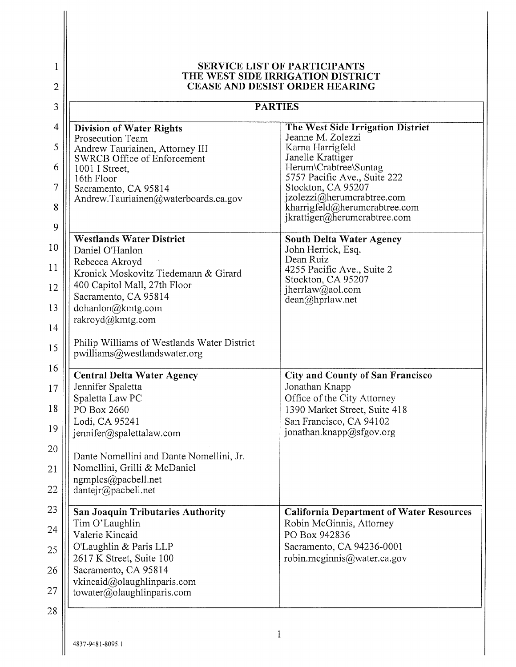| 1<br>$\overline{2}$ | <b>SERVICE LIST OF PARTICIPANTS</b><br>THE WEST SIDE IRRIGATION DISTRICT<br>CEASE AND DESIST ORDER HEARING<br><b>PARTIES</b> |                                                                                             |
|---------------------|------------------------------------------------------------------------------------------------------------------------------|---------------------------------------------------------------------------------------------|
| 3                   |                                                                                                                              |                                                                                             |
| $\overline{4}$      | <b>Division of Water Rights</b>                                                                                              | The West Side Irrigation District                                                           |
| 5                   | Prosecution Team<br>Andrew Tauriainen, Attorney III                                                                          | Jeanne M. Zolezzi<br>Karna Harrigfeld                                                       |
| 6                   | <b>SWRCB Office of Enforcement</b><br>1001 I Street,                                                                         | Janelle Krattiger<br>Herum\Crabtree\Suntag                                                  |
| $\overline{7}$      | 16th Floor<br>Sacramento, CA 95814                                                                                           | 5757 Pacific Ave., Suite 222<br>Stockton, CA 95207                                          |
| 8                   | Andrew.Tauriainen@waterboards.ca.gov                                                                                         | jzolezzi@herumcrabtree.com<br>kharrigfeld@herumcrabtree.com<br>jkrattiger@herumcrabtree.com |
| 9                   | <b>Westlands Water District</b>                                                                                              | <b>South Delta Water Agency</b>                                                             |
| 10                  | Daniel O'Hanlon                                                                                                              | John Herrick, Esq.<br>Dean Ruiz                                                             |
| 11                  | Rebecca Akroyd<br>Kronick Moskovitz Tiedemann & Girard                                                                       | 4255 Pacific Ave., Suite 2                                                                  |
| 12                  | 400 Capitol Mall, 27th Floor<br>Sacramento, CA 95814                                                                         | Stockton, CA 95207<br>jherrlaw@aol.com                                                      |
| 13                  | dohanlon@kmtg.com                                                                                                            | $dean(a)$ hprlaw.net                                                                        |
| 14                  | rakroyd@kmtg.com                                                                                                             |                                                                                             |
| 15                  | Philip Williams of Westlands Water District<br>pwilliams@westlandswater.org                                                  |                                                                                             |
| 16                  | <b>Central Delta Water Agency</b>                                                                                            | <b>City and County of San Francisco</b>                                                     |
| 17                  | Jennifer Spaletta<br>Spaletta Law PC                                                                                         | Jonathan Knapp<br>Office of the City Attorney                                               |
| 18                  | PO Box 2660                                                                                                                  | 1390 Market Street, Suite 418                                                               |
| 19                  | Lodi, CA 95241<br>jennifer@spalettalaw.com                                                                                   | San Francisco, CA 94102<br>jonathan.knapp@sfgov.org                                         |
| 20                  | Dante Nomellini and Dante Nomellini, Jr.                                                                                     |                                                                                             |
| 21                  | Nomellini, Grilli & McDaniel                                                                                                 |                                                                                             |
| 22                  | ngmplcs@pacbell.net<br>dantejr@pacbell.net                                                                                   |                                                                                             |
| 23                  | San Joaquin Tributaries Authority                                                                                            | <b>California Department of Water Resources</b>                                             |
| 24                  | Tim O'Laughlin                                                                                                               | Robin McGinnis, Attorney                                                                    |
| 25                  | Valerie Kincaid<br>O'Laughlin & Paris LLP                                                                                    | PO Box 942836<br>Sacramento, CA 94236-0001                                                  |
|                     | 2617 K Street, Suite 100<br>Sacramento, CA 95814                                                                             | robin.mcginnis@water.ca.gov                                                                 |
| 26                  | vkincaid@olaughlinparis.com                                                                                                  |                                                                                             |
| 27                  | towater@olaughlinparis.com                                                                                                   |                                                                                             |
| 28                  |                                                                                                                              |                                                                                             |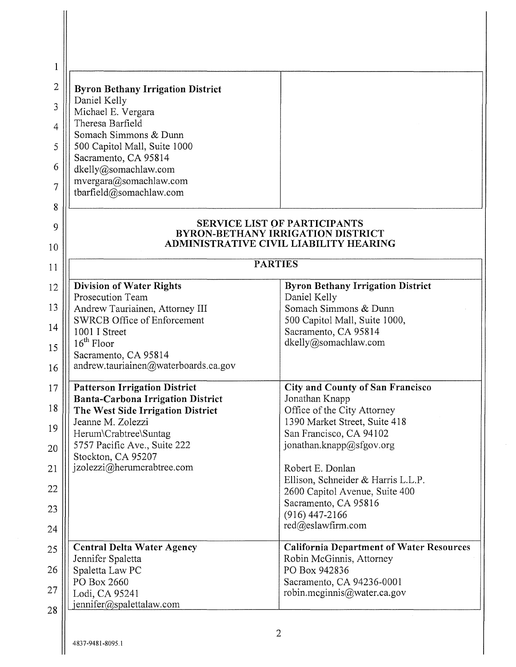| <b>Byron Bethany Irrigation District</b>                                      |                                                                                                                           |
|-------------------------------------------------------------------------------|---------------------------------------------------------------------------------------------------------------------------|
| Daniel Kelly<br>Michael E. Vergara                                            |                                                                                                                           |
| Theresa Barfield                                                              |                                                                                                                           |
| Somach Simmons & Dunn<br>500 Capitol Mall, Suite 1000                         |                                                                                                                           |
| Sacramento, CA 95814                                                          |                                                                                                                           |
| dkelly@somachlaw.com                                                          |                                                                                                                           |
| mvergara@somachlaw.com<br>tbarfield@somachlaw.com                             |                                                                                                                           |
|                                                                               |                                                                                                                           |
|                                                                               | <b>SERVICE LIST OF PARTICIPANTS</b><br><b>BYRON-BETHANY IRRIGATION DISTRICT</b><br>ADMINISTRATIVE CIVIL LIABILITY HEARING |
|                                                                               | <b>PARTIES</b>                                                                                                            |
| <b>Division of Water Rights</b>                                               | <b>Byron Bethany Irrigation District</b>                                                                                  |
| Prosecution Team                                                              | Daniel Kelly                                                                                                              |
| Andrew Tauriainen, Attorney III<br><b>SWRCB Office of Enforcement</b>         | Somach Simmons & Dunn                                                                                                     |
| 1001 I Street                                                                 | 500 Capitol Mall, Suite 1000,<br>Sacramento, CA 95814                                                                     |
| $16th$ Floor                                                                  | dkelly@somachlaw.com                                                                                                      |
| Sacramento, CA 95814                                                          |                                                                                                                           |
| andrew.tauriainen@waterboards.ca.gov                                          |                                                                                                                           |
| <b>Patterson Irrigation District</b>                                          | <b>City and County of San Francisco</b>                                                                                   |
| <b>Banta-Carbona Irrigation District</b><br>The West Side Irrigation District | Jonathan Knapp<br>Office of the City Attorney                                                                             |
| Jeanne M. Zolezzi                                                             | 1390 Market Street, Suite 418                                                                                             |
| Herum\Crabtree\Suntag                                                         | San Francisco, CA 94102                                                                                                   |
| 5757 Pacific Ave., Suite 222                                                  | jonathan.knapp@sfgov.org                                                                                                  |
| Stockton, CA 95207<br>jzolezzi@herumcrabtree.com                              | Robert E. Donlan                                                                                                          |
|                                                                               | Ellison, Schneider & Harris L.L.P.                                                                                        |
|                                                                               | 2600 Capitol Avenue, Suite 400                                                                                            |
|                                                                               | Sacramento, CA 95816<br>$(916)$ 447-2166                                                                                  |
|                                                                               | $red(\partial)$ eslawfirm.com                                                                                             |
| <b>Central Delta Water Agency</b>                                             | <b>California Department of Water Resources</b>                                                                           |
| Jennifer Spaletta<br>Spaletta Law PC                                          | Robin McGinnis, Attorney<br>PO Box 942836                                                                                 |
|                                                                               | Sacramento, CA 94236-0001                                                                                                 |
| PO Box 2660                                                                   |                                                                                                                           |

I